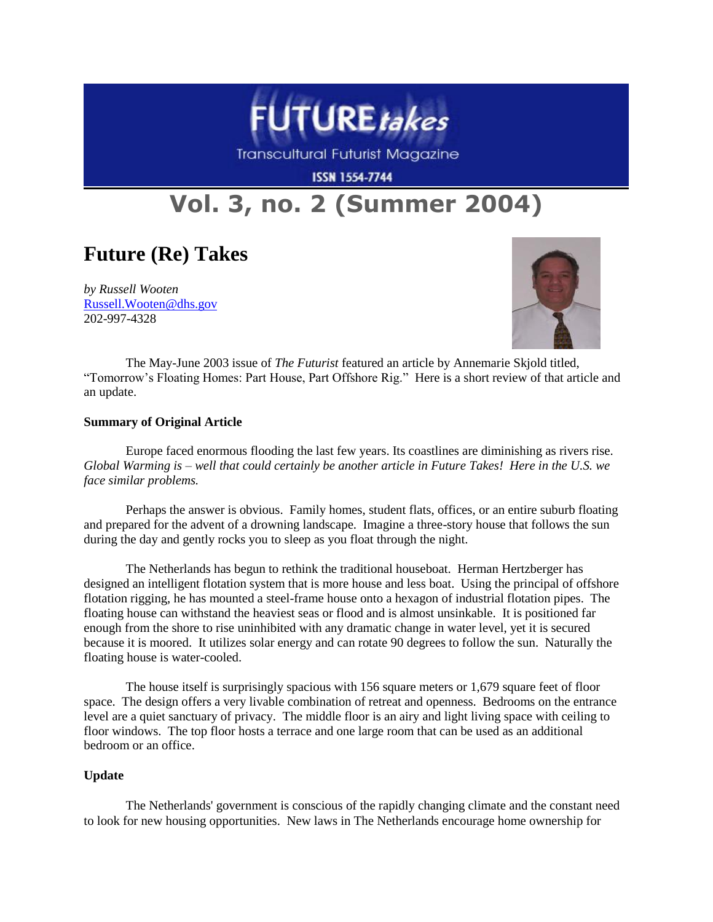

Transcultural Futurist Magazine

**ISSN 1554-7744** 

## **Vol. 3, no. 2 (Summer 2004)**

## **Future (Re) Takes**

*by Russell Wooten* Russell.Wooten@dhs.gov 202-997-4328



The May-June 2003 issue of *The Futurist* featured an article by Annemarie Skjold titled, "Tomorrow's Floating Homes: Part House, Part Offshore Rig." Here is a short review of that article and an update.

## **Summary of Original Article**

Europe faced enormous flooding the last few years. Its coastlines are diminishing as rivers rise. *Global Warming is – well that could certainly be another article in Future Takes! Here in the U.S. we face similar problems.*

Perhaps the answer is obvious. Family homes, student flats, offices, or an entire suburb floating and prepared for the advent of a drowning landscape. Imagine a three-story house that follows the sun during the day and gently rocks you to sleep as you float through the night.

The Netherlands has begun to rethink the traditional houseboat. Herman Hertzberger has designed an intelligent flotation system that is more house and less boat. Using the principal of offshore flotation rigging, he has mounted a steel-frame house onto a hexagon of industrial flotation pipes. The floating house can withstand the heaviest seas or flood and is almost unsinkable. It is positioned far enough from the shore to rise uninhibited with any dramatic change in water level, yet it is secured because it is moored. It utilizes solar energy and can rotate 90 degrees to follow the sun. Naturally the floating house is water-cooled.

The house itself is surprisingly spacious with 156 square meters or 1,679 square feet of floor space. The design offers a very livable combination of retreat and openness. Bedrooms on the entrance level are a quiet sanctuary of privacy. The middle floor is an airy and light living space with ceiling to floor windows. The top floor hosts a terrace and one large room that can be used as an additional bedroom or an office.

## **Update**

The Netherlands' government is conscious of the rapidly changing climate and the constant need to look for new housing opportunities. New laws in The Netherlands encourage home ownership for